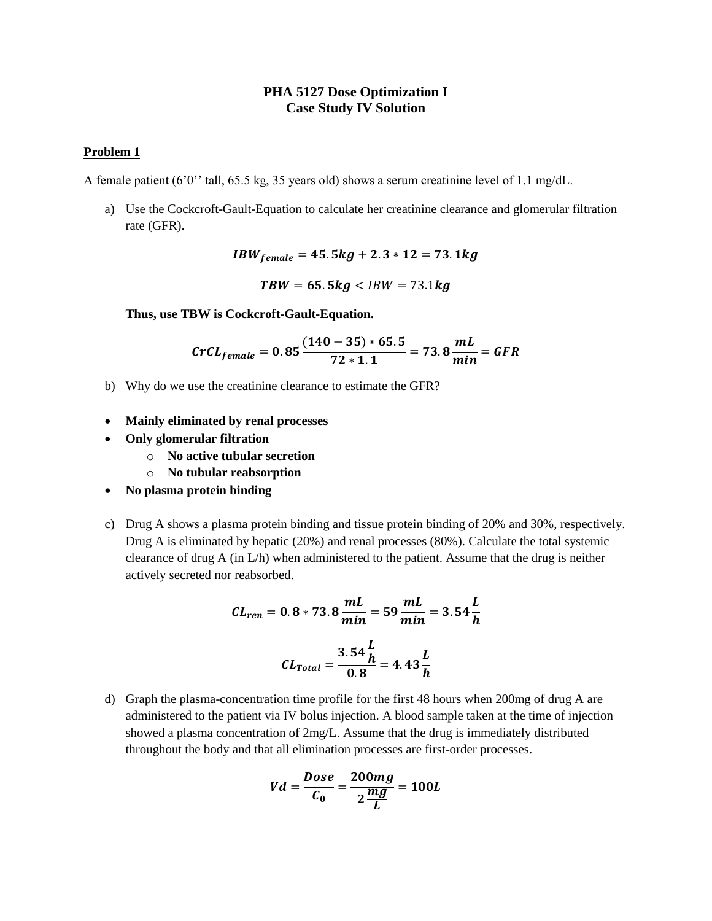## **PHA 5127 Dose Optimization I Case Study IV Solution**

## **Problem 1**

A female patient (6'0'' tall, 65.5 kg, 35 years old) shows a serum creatinine level of 1.1 mg/dL.

a) Use the Cockcroft-Gault-Equation to calculate her creatinine clearance and glomerular filtration rate (GFR).

 $IBW_{female} = 45.5kg + 2.3 * 12 = 73.1kg$ 

 $TBW = 65.5kg < IBW = 73.1kg$ 

**Thus, use TBW is Cockcroft-Gault-Equation.**

$$
CrCL_{female} = 0.85 \frac{(140 - 35) * 65.5}{72 * 1.1} = 73.8 \frac{mL}{min} = GFR
$$

- b) Why do we use the creatinine clearance to estimate the GFR?
- **Mainly eliminated by renal processes**
- **Only glomerular filtration**
	- o **No active tubular secretion**
	- o **No tubular reabsorption**
- **No plasma protein binding**
- c) Drug A shows a plasma protein binding and tissue protein binding of 20% and 30%, respectively. Drug A is eliminated by hepatic (20%) and renal processes (80%). Calculate the total systemic clearance of drug  $A$  (in  $L/h$ ) when administered to the patient. Assume that the drug is neither actively secreted nor reabsorbed.

$$
CL_{ren} = 0.8 * 73.8 \frac{mL}{min} = 59 \frac{mL}{min} = 3.54 \frac{L}{h}
$$
  
 $CL_{Total} = \frac{3.54 \frac{L}{h}}{0.8} = 4.43 \frac{L}{h}$ 

d) Graph the plasma-concentration time profile for the first 48 hours when 200mg of drug A are administered to the patient via IV bolus injection. A blood sample taken at the time of injection showed a plasma concentration of 2mg/L. Assume that the drug is immediately distributed throughout the body and that all elimination processes are first-order processes.

$$
Vd = \frac{Dose}{C_0} = \frac{200mg}{2\frac{mg}{L}} = 100L
$$